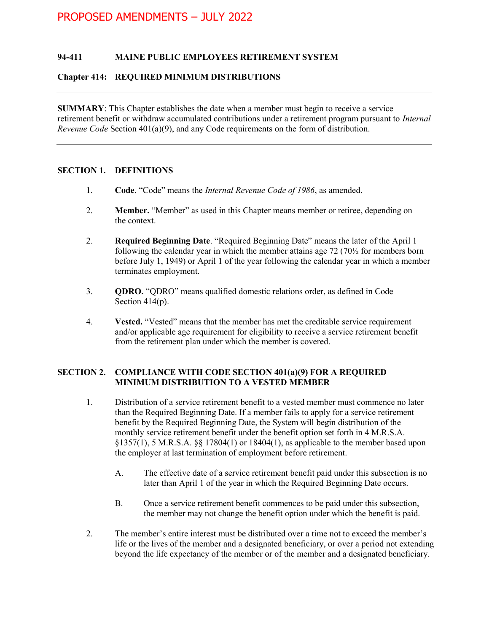# PROPOSED AMENDMENTS – JULY 2022

### 94-411 MAINE PUBLIC EMPLOYEES RETIREMENT SYSTEM

#### Chapter 414: REQUIRED MINIMUM DISTRIBUTIONS

SUMMARY: This Chapter establishes the date when a member must begin to receive a service retirement benefit or withdraw accumulated contributions under a retirement program pursuant to Internal Revenue Code Section  $401(a)(9)$ , and any Code requirements on the form of distribution.

# SECTION 1. DEFINITIONS

- 1. Code. "Code" means the Internal Revenue Code of 1986, as amended.
- 2. Member. "Member" as used in this Chapter means member or retiree, depending on the context.
- 2. Required Beginning Date. "Required Beginning Date" means the later of the April 1 following the calendar year in which the member attains age  $72$  ( $70\frac{1}{2}$  for members born before July 1, 1949) or April 1 of the year following the calendar year in which a member terminates employment.
- 3. QDRO. "QDRO" means qualified domestic relations order, as defined in Code Section 414(p).
- 4. Vested. "Vested" means that the member has met the creditable service requirement and/or applicable age requirement for eligibility to receive a service retirement benefit from the retirement plan under which the member is covered.

# SECTION 2. COMPLIANCE WITH CODE SECTION 401(a)(9) FOR A REQUIRED MINIMUM DISTRIBUTION TO A VESTED MEMBER

- 1. Distribution of a service retirement benefit to a vested member must commence no later than the Required Beginning Date. If a member fails to apply for a service retirement benefit by the Required Beginning Date, the System will begin distribution of the monthly service retirement benefit under the benefit option set forth in 4 M.R.S.A. §1357(1), 5 M.R.S.A. §§ 17804(1) or 18404(1), as applicable to the member based upon the employer at last termination of employment before retirement.
	- A. The effective date of a service retirement benefit paid under this subsection is no later than April 1 of the year in which the Required Beginning Date occurs.
	- B. Once a service retirement benefit commences to be paid under this subsection, the member may not change the benefit option under which the benefit is paid.
- 2. The member's entire interest must be distributed over a time not to exceed the member's life or the lives of the member and a designated beneficiary, or over a period not extending beyond the life expectancy of the member or of the member and a designated beneficiary.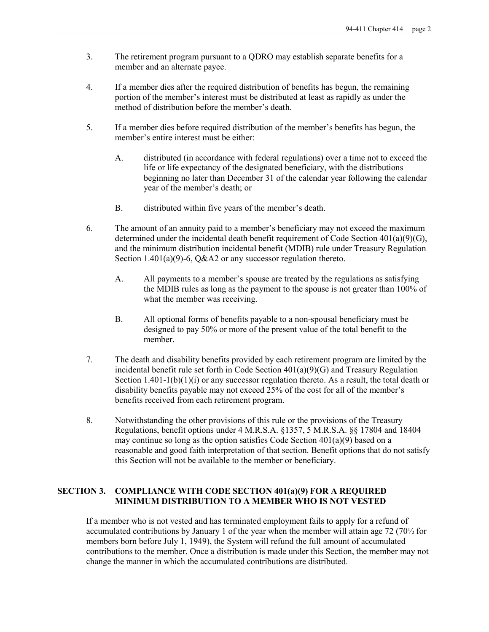- 3. The retirement program pursuant to a QDRO may establish separate benefits for a member and an alternate payee.
- 4. If a member dies after the required distribution of benefits has begun, the remaining portion of the member's interest must be distributed at least as rapidly as under the method of distribution before the member's death.
- 5. If a member dies before required distribution of the member's benefits has begun, the member's entire interest must be either:
	- A. distributed (in accordance with federal regulations) over a time not to exceed the life or life expectancy of the designated beneficiary, with the distributions beginning no later than December 31 of the calendar year following the calendar year of the member's death; or
	- B. distributed within five years of the member's death.
- 6. The amount of an annuity paid to a member's beneficiary may not exceed the maximum determined under the incidental death benefit requirement of Code Section  $401(a)(9)(G)$ , and the minimum distribution incidental benefit (MDIB) rule under Treasury Regulation Section 1.401(a)(9)-6, Q&A2 or any successor regulation thereto.
	- A. All payments to a member's spouse are treated by the regulations as satisfying the MDIB rules as long as the payment to the spouse is not greater than 100% of what the member was receiving.
	- B. All optional forms of benefits payable to a non-spousal beneficiary must be designed to pay 50% or more of the present value of the total benefit to the member.
- 7. The death and disability benefits provided by each retirement program are limited by the incidental benefit rule set forth in Code Section 401(a)(9)(G) and Treasury Regulation Section  $1.401-1(b)(1)(i)$  or any successor regulation thereto. As a result, the total death or disability benefits payable may not exceed 25% of the cost for all of the member's benefits received from each retirement program.
- 8. Notwithstanding the other provisions of this rule or the provisions of the Treasury Regulations, benefit options under 4 M.R.S.A. §1357, 5 M.R.S.A. §§ 17804 and 18404 may continue so long as the option satisfies Code Section  $401(a)(9)$  based on a reasonable and good faith interpretation of that section. Benefit options that do not satisfy this Section will not be available to the member or beneficiary.

#### SECTION 3. COMPLIANCE WITH CODE SECTION 401(a)(9) FOR A REQUIRED MINIMUM DISTRIBUTION TO A MEMBER WHO IS NOT VESTED

 If a member who is not vested and has terminated employment fails to apply for a refund of accumulated contributions by January 1 of the year when the member will attain age 72 (70½ for members born before July 1, 1949), the System will refund the full amount of accumulated contributions to the member. Once a distribution is made under this Section, the member may not change the manner in which the accumulated contributions are distributed.